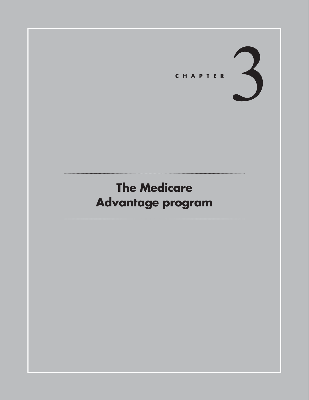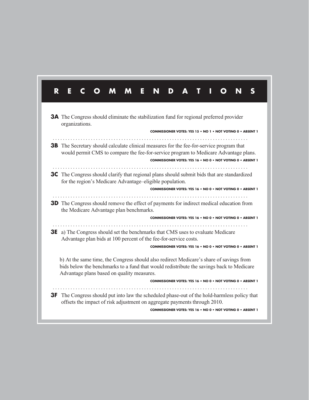| <b>3A</b> The Congress should eliminate the stabilization fund for regional preferred provider<br>organizations.<br>COMMISSIONER VOTES: YES 15 . NO 1 . NOT VOTING 0 . ABSENT 1                                                                                                                  |  |  |  |  |
|--------------------------------------------------------------------------------------------------------------------------------------------------------------------------------------------------------------------------------------------------------------------------------------------------|--|--|--|--|
| <b>3B</b> The Secretary should calculate clinical measures for the fee-for-service program that<br>would permit CMS to compare the fee-for-service program to Medicare Advantage plans.<br>COMMISSIONER VOTES: YES 16 . NO 0 . NOT VOTING 0 . ABSENT 1                                           |  |  |  |  |
| <b>3C</b> The Congress should clarify that regional plans should submit bids that are standardized<br>for the region's Medicare Advantage-eligible population.<br>COMMISSIONER VOTES: YES 16 . NO 0 . NOT VOTING 0 . ABSENT 1                                                                    |  |  |  |  |
| <b>3D</b> The Congress should remove the effect of payments for indirect medical education from<br>the Medicare Advantage plan benchmarks.<br>COMMISSIONER VOTES: YES 16 . NO 0 . NOT VOTING 0 . ABSENT 1                                                                                        |  |  |  |  |
| .<br><b>3E</b> a) The Congress should set the benchmarks that CMS uses to evaluate Medicare<br>Advantage plan bids at 100 percent of the fee-for-service costs.<br>COMMISSIONER VOTES: YES 16 . NO 0 . NOT VOTING 0 . ABSENT 1                                                                   |  |  |  |  |
| b) At the same time, the Congress should also redirect Medicare's share of savings from<br>bids below the benchmarks to a fund that would redistribute the savings back to Medicare<br>Advantage plans based on quality measures.<br>COMMISSIONER VOTES: YES 16 . NO 0 . NOT VOTING 0 . ABSENT 1 |  |  |  |  |
|                                                                                                                                                                                                                                                                                                  |  |  |  |  |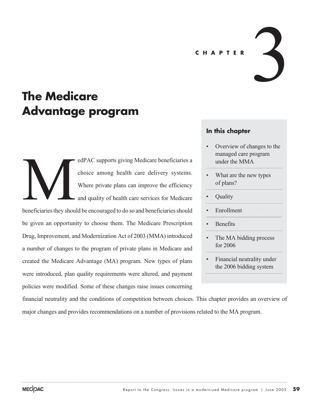### **CHAPTER**

# **The Medicare Advantage program**

edPAC supports giving Medicare beneficiaries a choice among health care delivery systems. Where private plans can improve the efficiency and quality of health care services for Medicare beneficiaries they should be encouraged to do so and beneficiaries should be given an opportunity to choose them. The Medicare Prescription **MANUSCIER SERVICE AND SHOW SHOW** 

Drug, Improvement, and Modernization Act of 2003 (MMA) introduced a number of changes to the program of private plans in Medicare and created the Medicare Advantage (MA) program. New types of plans were introduced, plan quality requirements were altered, and payment policies were modified. Some of these changes raise issues concerning

# **In this chapter**

• Overview of changes to the managed care program under the MMA

3

- What are the new types of plans?
- Quality
- **Enrollment**
- Benefits
- The MA bidding process for 2006
- Financial neutrality under the 2006 bidding system

financial neutrality and the conditions of competition between choices. This chapter provides an overview of major changes and provides recommendations on a number of provisions related to the MA program.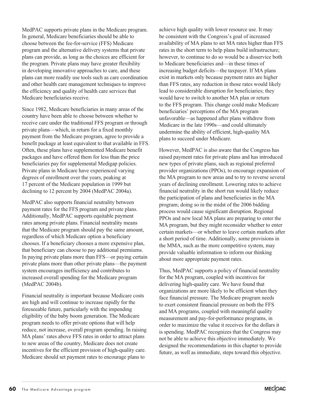MedPAC supports private plans in the Medicare program. In general, Medicare beneficiaries should be able to choose between the fee-for-service (FFS) Medicare program and the alternative delivery systems that private plans can provide, as long as the choices are efficient for the program. Private plans may have greater flexibility in developing innovative approaches to care, and these plans can more readily use tools such as care coordination and other health care management techniques to improve the efficiency and quality of health care services that Medicare beneficiaries receive.

Since 1982, Medicare beneficiaries in many areas of the country have been able to choose between whether to receive care under the traditional FFS program or through private plans—which, in return for a fixed monthly payment from the Medicare program, agree to provide a benefit package at least equivalent to that available in FFS. Often, these plans have supplemented Medicare benefit packages and have offered them for less than the price beneficiaries pay for supplemental Medigap policies. Private plans in Medicare have experienced varying degrees of enrollment over the years, peaking at 17 percent of the Medicare population in 1999 but declining to 12 percent by 2004 (MedPAC 2004a).

MedPAC also supports financial neutrality between payment rates for the FFS program and private plans. Additionally, MedPAC supports equitable payment rates among private plans. Financial neutrality means that the Medicare program should pay the same amount, regardless of which Medicare option a beneficiary chooses. If a beneficiary chooses a more expensive plan, that beneficiary can choose to pay additional premiums. In paying private plans more than FFS—or paying certain private plans more than other private plans—the payment system encourages inefficiency and contributes to increased overall spending for the Medicare program (MedPAC 2004b).

Financial neutrality is important because Medicare costs are high and will continue to increase rapidly for the foreseeable future, particularly with the impending eligibility of the baby boom generation. The Medicare program needs to offer private options that will help reduce, not increase, overall program spending. In raising MA plans' rates above FFS rates in order to attract plans to new areas of the country, Medicare does not create incentives for the efficient provision of high-quality care. Medicare should set payment rates to encourage plans to

achieve high quality with lower resource use. It may be consistent with the Congress's goal of increased availability of MA plans to set MA rates higher than FFS rates in the short term to help plans build infrastructure; however, to continue to do so would be a disservice both to Medicare beneficiaries and—in these times of increasing budget deficits—the taxpayer. If MA plans exist in markets only because payment rates are higher than FFS rates, any reduction in those rates would likely lead to considerable disruption for beneficiaries; they would have to switch to another MA plan or return to the FFS program. This change could make Medicare beneficiaries' perceptions of the MA program unfavorable—as happened after plans withdrew from Medicare in the late 1990s—and could ultimately undermine the ability of efficient, high-quality MA plans to succeed under Medicare.

However, MedPAC is also aware that the Congress has raised payment rates for private plans and has introduced new types of private plans, such as regional preferred provider organizations (PPOs), to encourage expansion of the MA program to new areas and to try to reverse several years of declining enrollment. Lowering rates to achieve financial neutrality in the short run would likely reduce the participation of plans and beneficiaries in the MA program; doing so in the midst of the 2006 bidding process would cause significant disruption. Regional PPOs and new local MA plans are preparing to enter the MA program, but they might reconsider whether to enter certain markets—or whether to leave certain markets after a short period of time. Additionally, some provisions in the MMA, such as the more competitive system, may provide valuable information to inform our thinking about more appropriate payment rates.

Thus, MedPAC supports a policy of financial neutrality for the MA program, coupled with incentives for delivering high-quality care. We have found that organizations are more likely to be efficient when they face financial pressure. The Medicare program needs to exert consistent financial pressure on both the FFS and MA programs, coupled with meaningful quality measurement and pay-for-performance programs, in order to maximize the value it receives for the dollars it is spending. MedPAC recognizes that the Congress may not be able to achieve this objective immediately. We designed the recommendations in this chapter to provide future, as well as immediate, steps toward this objective.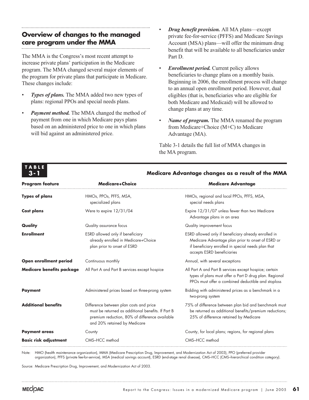# **Overview of changes to the managed care program under the MMA**

The MMA is the Congress's most recent attempt to increase private plans' participation in the Medicare program. The MMA changed several major elements of the program for private plans that participate in Medicare. These changes include:

- *Types of plans.* The MMA added two new types of plans: regional PPOs and special needs plans.
- *Payment method.* The MMA changed the method of payment from one in which Medicare pays plans based on an administered price to one in which plans will bid against an administered price.
- *Drug benefit provision.* All MA plans—except private fee-for-service (PFFS) and Medicare Savings Account (MSA) plans—will offer the minimum drug benefit that will be available to all beneficiaries under Part D.
- *Enrollment period.* Current policy allows beneficiaries to change plans on a monthly basis. Beginning in 2006, the enrollment process will change to an annual open enrollment period. However, dual eligibles (that is, beneficiaries who are eligible for both Medicare and Medicaid) will be allowed to change plans at any time.
- *Name of program.* The MMA renamed the program from Medicare+Choice (M+C) to Medicare Advantage (MA).

Table 3-1 details the full list of MMA changes in the MA program.

| <b>Program feature</b>       | <b>Medicare+Choice</b>                                                                                                                                                          | <b>Medicare Advantage</b>                                                                                                                                                                     |  |  |
|------------------------------|---------------------------------------------------------------------------------------------------------------------------------------------------------------------------------|-----------------------------------------------------------------------------------------------------------------------------------------------------------------------------------------------|--|--|
| <b>Types of plans</b>        | HMOs, PPOs, PFFS, MSA,<br>specialized plans                                                                                                                                     | HMOs, regional and local PPOs, PFFS, MSA,<br>special needs plans                                                                                                                              |  |  |
| Cost plans                   | Were to expire 12/31/04                                                                                                                                                         | Expire 12/31/07 unless fewer than two Medicare<br>Advantage plans in an area                                                                                                                  |  |  |
| Quality                      | Quality assurance focus                                                                                                                                                         | Quality improvement focus                                                                                                                                                                     |  |  |
| <b>Enrollment</b>            | ESRD allowed only if beneficiary<br>already enrolled in Medicare+Choice<br>plan prior to onset of ESRD                                                                          | ESRD allowed only if beneficiary already enrolled in<br>Medicare Advantage plan prior to onset of ESRD or<br>if beneficiary enrolled in special needs plan that<br>accepts ESRD beneficiaries |  |  |
| Open enrollment period       | Continuous monthly                                                                                                                                                              | Annual, with several exceptions                                                                                                                                                               |  |  |
| Medicare benefits package    | All Part A and Part B services except hospice                                                                                                                                   | All Part A and Part B services except hospice; certain<br>types of plans must offer a Part D drug plan. Regional<br>PPOs must offer a combined deductible and stoploss                        |  |  |
| <b>Payment</b>               | Administered prices based on three-prong system                                                                                                                                 | Bidding with administered prices as a benchmark in a<br>two-prong system                                                                                                                      |  |  |
| <b>Additional benefits</b>   | Difference between plan costs and price<br>must be returned as additional benefits. If Part B<br>premium reduction, 80% of difference available<br>and 20% retained by Medicare | 75% of difference between plan bid and benchmark must<br>be returned as additional benefits/premium reductions;<br>25% of difference retained by Medicare                                     |  |  |
| <b>Payment areas</b>         | County                                                                                                                                                                          | County, for local plans; regions, for regional plans                                                                                                                                          |  |  |
| <b>Basic risk adjustment</b> | CMS-HCC method                                                                                                                                                                  | CMS-HCC method                                                                                                                                                                                |  |  |

### **Medicare Advantage changes as a result of the MMA**

Note: HMO (health maintenance organization), MMA (Medicare Prescription Drug, Improvement, and Modernization Act of 2003), PPO (preferred provider organization), PFFS (private fee-for-service), MSA (medical savings account), ESRD (end-stage renal disease), CMS–HCC (CMS–hierarchical condition category).

Source: Medicare Prescription Drug, Improvement, and Modernization Act of 2003.

**TABLE 3-1**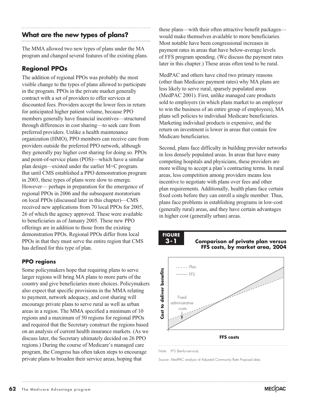# **What are the new types of plans?**

The MMA allowed two new types of plans under the MA program and changed several features of the existing plans.

# **Regional PPOs**

The addition of regional PPOs was probably the most visible change to the types of plans allowed to participate in the program. PPOs in the private market generally contract with a set of providers to offer services at discounted fees. Providers accept the lower fees in return for anticipated higher patient volume, because PPO members generally have financial incentives—structured through differences in cost sharing—to seek care from preferred providers. Unlike a health maintenance organization (HMO), PPO members can receive care from providers outside the preferred PPO network, although they generally pay higher cost sharing for doing so. PPOs and point-of-service plans (POS)—which have a similar plan design—existed under the earlier M+C program. But until CMS established a PPO demonstration program in 2003, these types of plans were slow to emerge. However— perhaps in preparation for the emergence of regional PPOs in 2006 and the subsequent moratorium on local PPOs (discussed later in this chapter)—CMS received new applications from 70 local PPOs for 2005, 26 of which the agency approved. These were available to beneficiaries as of January 2005. These new PPO offerings are in addition to those from the existing demonstration PPOs. Regional PPOs differ from local PPOs in that they must serve the entire region that CMS has defined for this type of plan.

# **PPO regions**

Some policymakers hope that requiring plans to serve larger regions will bring MA plans to more parts of the country and give beneficiaries more choices. Policymakers also expect that specific provisions in the MMA relating to payment, network adequacy, and cost sharing will encourage private plans to serve rural as well as urban areas in a region. The MMA specified a minimum of 10 regions and a maximum of 50 regions for regional PPOs and required that the Secretary construct the regions based on an analysis of current health insurance markets. (As we discuss later, the Secretary ultimately decided on 26 PPO regions.) During the course of Medicare's managed care program, the Congress has often taken steps to encourage private plans to broaden their service areas, hoping that

these plans—with their often attractive benefit packages would make themselves available to more beneficiaries. Most notable have been congressional increases in payment rates in areas that have below-average levels of FFS program spending. (We discuss the payment rates later in this chapter.) These areas often tend to be rural.

MedPAC and others have cited two primary reasons (other than Medicare payment rates) why MA plans are less likely to serve rural, sparsely populated areas (MedPAC 2001). First, unlike managed care products sold to employers (in which plans market to an employer to win the business of an entire group of employees), MA plans sell policies to individual Medicare beneficiaries. Marketing individual products is expensive, and the return on investment is lower in areas that contain few Medicare beneficiaries.

Second, plans face difficulty in building provider networks in less densely populated areas. In areas that have many competing hospitals and physicians, these providers are more willing to accept a plan's contracting terms. In rural areas, less competition among providers means less incentive to negotiate with plans over fees and other plan requirements. Additionally, health plans face certain fixed costs before they can enroll a single member. Thus, plans face problems in establishing programs in low-cost (generally rural) areas, and they have certain advantages in higher cost (generally urban) areas.







Note: FFS (fee-for-service).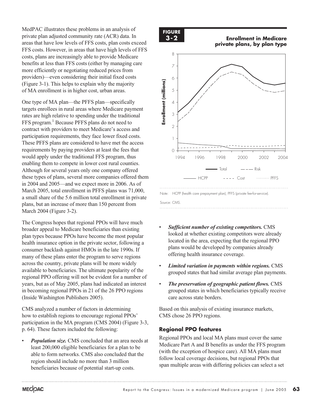MedPAC illustrates these problems in an analysis of private plan adjusted community rate (ACR) data. In areas that have low levels of FFS costs, plan costs exceed FFS costs. However, in areas that have high levels of FFS costs, plans are increasingly able to provide Medicare benefits at less than FFS costs (either by managing care more efficiently or negotiating reduced prices from providers)—even considering their initial fixed costs (Figure 3-1). This helps to explain why the majority of MA enrollment is in higher cost, urban areas.

One type of MA plan—the PFFS plan—specifically targets enrollees in rural areas where Medicare payment rates are high relative to spending under the traditional FFS program.<sup>1</sup> Because PFFS plans do not need to contract with providers to meet Medicare's access and participation requirements, they face lower fixed costs. These PFFS plans are considered to have met the access requirements by paying providers at least the fees that would apply under the traditional FFS program, thus enabling them to compete in lower cost rural counties. Although for several years only one company offered these types of plans, several more companies offered them in 2004 and 2005—and we expect more in 2006. As of March 2005, total enrollment in PFFS plans was 71,000, a small share of the 5.6 million total enrollment in private plans, but an increase of more than 150 percent from March 2004 (Figure 3-2).

The Congress hopes that regional PPOs will have much broader appeal to Medicare beneficiaries than existing plan types because PPOs have become the most popular health insurance option in the private sector, following a consumer backlash against HMOs in the late 1990s. If many of these plans enter the program to serve regions across the country, private plans will be more widely available to beneficiaries. The ultimate popularity of the regional PPO offering will not be evident for a number of years, but as of May 2005, plans had indicated an interest in becoming regional PPOs in 21 of the 26 PPO regions (Inside Washington Publishers 2005).

CMS analyzed a number of factors in determining how to establish regions to encourage regional PPOs' participation in the MA program (CMS 2004) (Figure 3-3, p. 64). These factors included the following:

• *Population size.* CMS concluded that an area needs at least 200,000 eligible beneficiaries for a plan to be able to form networks. CMS also concluded that the region should include no more than 3 million beneficiaries because of potential start-up costs.

#### **FIGURE 3-2**

**Enrollment in Medicare private plans, by plan type**



- *Sufficient number of existing competitors.* CMS looked at whether existing competitors were already located in the area, expecting that the regional PPO plans would be developed by companies already offering health insurance coverage.
- *Limited variation in payments within regions.* CMS grouped states that had similar average plan payments.
- *The preservation of geographic patient flows.* CMS grouped states in which beneficiaries typically receive care across state borders.

Based on this analysis of existing insurance markets, CMS chose 26 PPO regions.

# **Regional PPO features**

Regional PPOs and local MA plans must cover the same Medicare Part A and B benefits as under the FFS program (with the exception of hospice care). All MA plans must follow local coverage decisions, but regional PPOs that span multiple areas with differing policies can select a set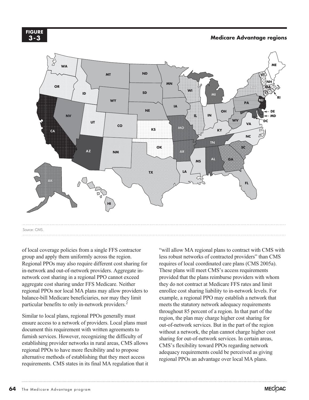#### **FIGURE 3-3**

### **Medicare Advantage regions**



of local coverage policies from a single FFS contractor group and apply them uniformly across the region. Regional PPOs may also require different cost sharing for in-network and out-of-network providers. Aggregate innetwork cost sharing in a regional PPO cannot exceed aggregate cost sharing under FFS Medicare. Neither regional PPOs nor local MA plans may allow providers to balance-bill Medicare beneficiaries, nor may they limit particular benefits to only in-network providers.<sup>2</sup>

Similar to local plans, regional PPOs generally must ensure access to a network of providers. Local plans must document this requirement with written agreements to furnish services. However, recognizing the difficulty of establishing provider networks in rural areas, CMS allows regional PPOs to have more flexibility and to propose alternative methods of establishing that they meet access requirements. CMS states in its final MA regulation that it "will allow MA regional plans to contract with CMS with less robust networks of contracted providers" than CMS requires of local coordinated care plans (CMS 2005a). These plans will meet CMS's access requirements provided that the plans reimburse providers with whom they do not contract at Medicare FFS rates and limit enrollee cost sharing liability to in-network levels. For example, a regional PPO may establish a network that meets the statutory network adequacy requirements throughout 85 percent of a region. In that part of the region, the plan may charge higher cost sharing for out-of-network services. But in the part of the region without a network, the plan cannot charge higher cost sharing for out-of-network services. In certain areas, CMS's flexibility toward PPOs regarding network adequacy requirements could be perceived as giving regional PPOs an advantage over local MA plans.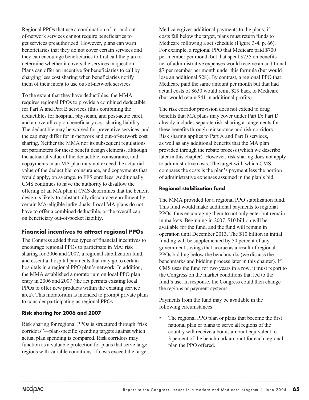Regional PPOs that use a combination of in- and outof-network services cannot require beneficiaries to get services preauthorized. However, plans can warn beneficiaries that they do not cover certain services and they can encourage beneficiaries to first call the plan to determine whether it covers the services in question. Plans can offer an incentive for beneficiaries to call by charging less cost sharing when beneficiaries notify them of their intent to use out-of-network services.

To the extent that they have deductibles, the MMA requires regional PPOs to provide a combined deductible for Part A and Part B services (thus combining the deductibles for hospital, physician, and post-acute care), and an overall cap on beneficiary cost-sharing liability. The deductible may be waived for preventive services, and the cap may differ for in-network and out-of-network cost sharing. Neither the MMA nor its subsequent regulations set parameters for these benefit design elements, although the actuarial value of the deductible, coinsurance, and copayments in an MA plan may not exceed the actuarial value of the deductible, coinsurance, and copayments that would apply, on average, to FFS enrollees. Additionally, CMS continues to have the authority to disallow the offering of an MA plan if CMS determines that the benefit design is likely to substantially discourage enrollment by certain MA-eligible individuals. Local MA plans do not have to offer a combined deductible, or the overall cap on beneficiary out-of-pocket liability.

# **Financial incentives to attract regional PPOs**

The Congress added three types of financial incentives to encourage regional PPOs to participate in MA: risk sharing for 2006 and 2007, a regional stabilization fund, and essential hospital payments that may go to certain hospitals in a regional PPO plan's network. In addition, the MMA established a moratorium on local PPO plan entry in 2006 and 2007 (the act permits existing local PPOs to offer new products within the existing service area). This moratorium is intended to prompt private plans to consider participating as regional PPOs.

# **Risk sharing for 2006 and 2007**

Risk sharing for regional PPOs is structured through "risk corridors"—plan-specific spending targets against which actual plan spending is compared. Risk corridors may function as a valuable protection for plans that serve large regions with variable conditions. If costs exceed the target,

Medicare gives additional payments to the plans; if costs fall below the target, plans must return funds to Medicare following a set schedule (Figure 3-4, p. 66). For example, a regional PPO that Medicare paid \$700 per member per month but that spent \$735 on benefits net of administrative expenses would receive an additional \$7 per member per month under this formula (but would lose an additional \$28). By contrast, a regional PPO that Medicare paid the same amount per month but that had actual costs of \$630 would remit \$29 back to Medicare (but would retain \$41 in additional profits).

The risk corridor provision does not extend to drug benefits that MA plans may cover under Part D; Part D already includes separate risk-sharing arrangements for these benefits through reinsurance and risk corridors. Risk sharing applies to Part A and Part B services, as well as any additional benefits that the MA plan provided through the rebate process (which we describe later in this chapter). However, risk sharing does not apply to administrative costs. The target with which CMS compares the costs is the plan's payment less the portion of administrative expenses assumed in the plan's bid.

# **Regional stabilization fund**

The MMA provided for a regional PPO stabilization fund. This fund would make additional payments to regional PPOs, thus encouraging them to not only enter but remain in markets. Beginning in 2007, \$10 billion will be available for the fund, and the fund will remain in operation until December 2013. The \$10 billion in initial funding will be supplemented by 50 percent of any government savings that accrue as a result of regional PPOs bidding below the benchmarks (we discuss the benchmarks and bidding process later in this chapter). If CMS uses the fund for two years in a row, it must report to the Congress on the market conditions that led to the fund's use. In response, the Congress could then change the regions or payment systems.

Payments from the fund may be available in the following circumstances:

The regional PPO plan or plans that become the first national plan or plans to serve all regions of the country will receive a bonus amount equivalent to 3 percent of the benchmark amount for each regional plan the PPO offered.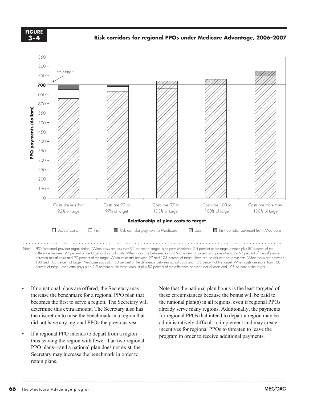**FIGURE 3-4**



 between actual costs and 97 percent of the target. When costs are between 97 and 103 percent of target, there are no risk corridor payments. When costs are between 103 and 108 percent of target, Medicare pays plan 50 percent of the difference between actual costs and 103 percent of the target. When costs are more than 108 percent of the target. When costs are more than 108 percent of

- If no national plans are offered, the Secretary may increase the benchmark for a regional PPO plan that becomes the first to serve a region. The Secretary will determine this extra amount. The Secretary also has the discretion to raise the benchmark in a region that did not have any regional PPOs the previous year.
- If a regional PPO intends to depart from a region thus leaving the region with fewer than two regional PPO plans—and a national plan does not exist, the Secretary may increase the benchmark in order to retain plans.

Note that the national plan bonus is the least targeted of these circumstances because the bonus will be paid to the national plan(s) in all regions, even if regional PPOs already serve many regions. Additionally, the payments for regional PPOs that intend to depart a region may be administratively difficult to implement and may create incentives for regional PPOs to threaten to leave the program in order to receive additional payments.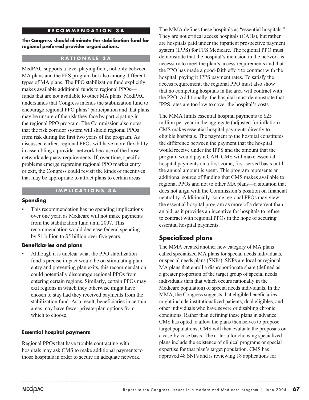# **RECOMMENDATION 3A**

#### **The Congress should eliminate the stabilization fund for regional preferred provider organizations.**

# **RATIONALE 3A**

MedPAC supports a level playing field, not only between MA plans and the FFS program but also among different types of MA plans. The PPO stabilization fund explicitly makes available additional funds to regional PPOs funds that are not available to other MA plans. MedPAC understands that Congress intends the stabilization fund to encourage regional PPO plans' participation and that plans may be unsure of the risk they face by participating in the regional PPO program. The Commission also notes that the risk corridor system will shield regional PPOs from risk during the first two years of the program. As discussed earlier, regional PPOs will have more flexibility in assembling a provider network because of the looser network adequacy requirements. If, over time, specific problems emerge regarding regional PPO market entry or exit, the Congress could revisit the kinds of incentives that may be appropriate to attract plans to certain areas.

### **IMPLICATIONS 3A**

#### **Spending**

This recommendation has no spending implications over one year, as Medicare will not make payments from the stabilization fund until 2007. This recommendation would decrease federal spending by \$1 billion to \$5 billion over five years.

#### **Beneficiaries and plans**

• Although it is unclear what the PPO stabilization fund's precise impact would be on stimulating plan entry and preventing plan exits, this recommendation could potentially discourage regional PPOs from entering certain regions. Similarly, certain PPOs may exit regions in which they otherwise might have chosen to stay had they received payments from the stabilization fund. As a result, beneficiaries in certain areas may have fewer private-plan options from which to choose.

#### **Essential hospital payments**

Regional PPOs that have trouble contracting with hospitals may ask CMS to make additional payments to those hospitals in order to secure an adequate network.

The MMA defines these hospitals as "essential hospitals." They are not critical access hospitals (CAHs), but rather are hospitals paid under the inpatient prospective payment system (IPPS) for FFS Medicare. The regional PPO must demonstrate that the hospital's inclusion in the network is necessary to meet the plan's access requirements and that the PPO has made a good-faith effort to contract with the hospital, paying it IPPS payment rates. To satisfy the access requirement, the regional PPO must also show that no competing hospitals in the area will contract with the PPO. Additionally, the hospital must demonstrate that IPPS rates are too low to cover the hospital's costs.

The MMA limits essential hospital payments to \$25 million per year in the aggregate (adjusted for inflation). CMS makes essential hospital payments directly to eligible hospitals. The payment to the hospital constitutes the difference between the payment that the hospital would receive under the IPPS and the amount that the program would pay a CAH. CMS will make essential hospital payments on a first-come, first-served basis until the annual amount is spent. This program represents an additional source of funding that CMS makes available to regional PPOs and not to other MA plans—a situation that does not align with the Commission's position on financial neutrality. Additionally, some regional PPOs may view the essential hospital program as more of a deterrent than an aid, as it provides an incentive for hospitals to refuse to contract with regional PPOs in the hope of securing essential hospital payments.

# **Specialized plans**

The MMA created another new category of MA plans called specialized MA plans for special needs individuals, or special needs plans (SNPs). SNPs are local or regional MA plans that enroll a disproportionate share (defined as a greater proportion of the target group of special needs individuals than that which occurs nationally in the Medicare population) of special needs individuals. In the MMA, the Congress suggests that eligible beneficiaries might include institutionalized patients, dual eligibles, and other individuals who have severe or disabling chronic conditions. Rather than defining these plans in advance, CMS has opted to allow the plans themselves to propose target populations; CMS will then evaluate the proposals on a case-by-case basis. The criteria for choosing specialized plans include the existence of clinical programs or special expertise for that plan's target population. CMS has approved 48 SNPs and is reviewing 18 applications for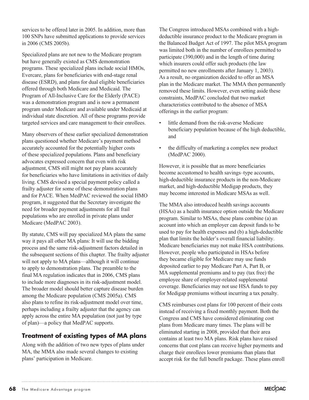services to be offered later in 2005. In addition, more than 100 SNPs have submitted applications to provide services in 2006 (CMS 2005b).

Specialized plans are not new to the Medicare program but have generally existed as CMS demonstration programs. These specialized plans include social HMOs, Evercare, plans for beneficiaries with end-stage renal disease (ESRD), and plans for dual eligible beneficiaries offered through both Medicare and Medicaid. The Program of All-Inclusive Care for the Elderly (PACE) was a demonstration program and is now a permanent program under Medicare and available under Medicaid at individual state discretion. All of these programs provide targeted services and care management to their enrollees.

Many observers of these earlier specialized demonstration plans questioned whether Medicare's payment method accurately accounted for the potentially higher costs of these specialized populations. Plans and beneficiary advocates expressed concern that even with risk adjustment, CMS still might not pay plans accurately for beneficiaries who have limitations in activities of daily living. CMS devised a special payment policy called a frailty adjuster for some of these demonstration plans and for PACE. When MedPAC reviewed the social HMO program, it suggested that the Secretary investigate the need for broader payment adjustments for all frail populations who are enrolled in private plans under Medicare (MedPAC 2003).

By statute, CMS will pay specialized MA plans the same way it pays all other MA plans: It will use the bidding process and the same risk-adjustment factors detailed in the subsequent sections of this chapter. The frailty adjuster will not apply to MA plans—although it will continue to apply to demonstration plans. The preamble to the final MA regulation indicates that in 2006, CMS plans to include more diagnoses in its risk-adjustment model. The broader model should better capture disease burden among the Medicare population (CMS 2005a). CMS also plans to refine its risk-adjustment model over time, perhaps including a frailty adjuster that the agency can apply across the entire MA population (not just by type of plan)—a policy that MedPAC supports.

# **Treatment of existing types of MA plans**

Along with the addition of two new types of plans under MA, the MMA also made several changes to existing plans' participation in Medicare.

The Congress introduced MSAs combined with a highdeductible insurance product to the Medicare program in the Balanced Budget Act of 1997. The pilot MSA program was limited both in the number of enrollees permitted to participate (390,000) and in the length of time during which insurers could offer such products (the law permitted no new enrollments after January 1, 2003). As a result, no organization decided to offer an MSA plan in the Medicare market. The MMA then permanently removed these limits. However, even setting aside these constraints, MedPAC concluded that two market characteristics contributed to the absence of MSA offerings in the earlier program:

- little demand from the risk-averse Medicare beneficiary population because of the high deductible, and
- the difficulty of marketing a complex new product (MedPAC 2000).

However, it is possible that as more beneficiaries become accustomed to health savings–type accounts, high-deductible insurance products in the non-Medicare market, and high-deductible Medigap products, they may become interested in Medicare MSAs as well.

The MMA also introduced health savings accounts (HSAs) as a health insurance option outside the Medicare program. Similar to MSAs, these plans combine (a) an account into which an employer can deposit funds to be used to pay for health expenses and (b) a high-deductible plan that limits the holder's overall financial liability. Medicare beneficiaries may not make HSA contributions. However, people who participated in HSAs before they became eligible for Medicare may use funds deposited earlier to pay Medicare Part A, Part B, or MA supplemental premiums and to pay (tax free) the employee share of employer-related supplemental coverage. Beneficiaries may not use HSA funds to pay for Medigap premiums without incurring a tax penalty.

CMS reimburses cost plans for 100 percent of their costs instead of receiving a fixed monthly payment. Both the Congress and CMS have considered eliminating cost plans from Medicare many times. The plans will be eliminated starting in 2008, provided that their area contains at least two MA plans. Risk plans have raised concerns that cost plans can receive higher payments and charge their enrollees lower premiums than plans that accept risk for the full benefit package. These plans enroll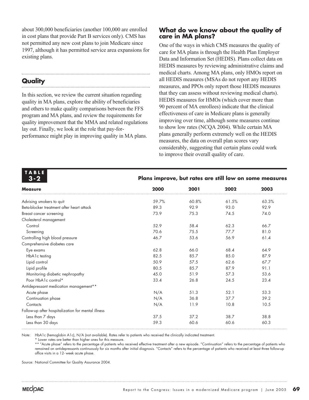about 300,000 beneficiaries (another 100,000 are enrolled in cost plans that provide Part B services only). CMS has not permitted any new cost plans to join Medicare since 1997, although it has permitted service area expansions for existing plans.

# **Quality**

In this section, we review the current situation regarding quality in MA plans, explore the ability of beneficiaries and others to make quality comparisons between the FFS program and MA plans, and review the requirements for quality improvement that the MMA and related regulations lay out. Finally, we look at the role that pay-forperformance might play in improving quality in MA plans.

# **What do we know about the quality of care in MA plans?**

One of the ways in which CMS measures the quality of care for MA plans is through the Health Plan Employer Data and Information Set (HEDIS). Plans collect data on HEDIS measures by reviewing administrative claims and medical charts. Among MA plans, only HMOs report on all HEDIS measures (MSAs do not report any HEDIS measures, and PPOs only report those HEDIS measures that they can assess without reviewing medical charts). HEDIS measures for HMOs (which cover more than 90 percent of MA enrollees) indicate that the clinical effectiveness of care in Medicare plans is generally improving over time, although some measures continue to show low rates (NCQA 2004). While certain MA plans generally perform extremely well on the HEDIS measures, the data on overall plan scores vary considerably, suggesting that certain plans could work to improve their overall quality of care.

| TABLE |  |  |
|-------|--|--|
| 3-2   |  |  |

# **Plans improve, but rates are still low on some measures**

| <b>Measure</b>                                     | 2000  | 2001  | 2002  | 2003  |  |
|----------------------------------------------------|-------|-------|-------|-------|--|
| Advising smokers to quit                           | 59.7% | 60.8% | 61.5% | 63.3% |  |
| Beta-blocker treatment after heart attack          | 89.3  | 92.9  | 93.0  | 92.9  |  |
| Breast cancer screening                            | 73.9  | 75.3  | 74.5  | 74.0  |  |
| Cholesterol management                             |       |       |       |       |  |
| Control                                            | 52.9  | 58.4  | 62.3  | 66.7  |  |
| Screening                                          | 70.6  | 75.5  | 77.7  | 81.0  |  |
| Controlling high blood pressure                    | 46.7  | 53.6  | 56.9  | 61.4  |  |
| Comprehensive diabetes care                        |       |       |       |       |  |
| Eye exams                                          | 62.8  | 66.0  | 68.4  | 64.9  |  |
| HbA1c testing                                      | 82.5  | 85.7  | 85.0  | 87.9  |  |
| Lipid control                                      | 50.9  | 57.5  | 62.6  | 67.7  |  |
| Lipid profile                                      | 80.5  | 85.7  | 87.9  | 91.1  |  |
| Monitoring diabetic nephropathy                    | 45.0  | 51.9  | 57.3  | 53.6  |  |
| Poor HbA1c control*                                | 33.4  | 26.8  | 24.5  | 23.4  |  |
| Antidepressant medication management**             |       |       |       |       |  |
| Acute phase                                        | N/A   | 51.3  | 52.1  | 53.3  |  |
| Continuation phase                                 | N/A   | 36.8  | 37.7  | 39.2  |  |
| Contacts                                           | N/A   | 11.9  | 10.8  | 10.5  |  |
| Follow-up after hospitalization for mental illness |       |       |       |       |  |
| Less than 7 days                                   | 37.5  | 37.2  | 38.7  | 38.8  |  |
| Less than 30 days                                  | 59.3  | 60.6  | 60.6  | 60.3  |  |

Note: HbA1c (hemoglobin A1c), N/A (not available). Rates refer to patients who received the clinically indicated treatment.

\* Lower rates are better than higher ones for this measure.

\*\* "Acute phase" refers to the percentage of patients who received effective treatment after a new episode. "Continuation" refers to the percentage of patients who remained on antidepressants continuously for six months after initial diagnosis. "Contacts" refers to the percentage of patients who received at least three follow-up office visits in a 12- week acute phase.

Source: National Committee for Quality Assurance 2004.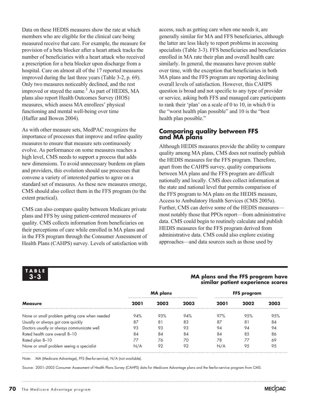Data on these HEDIS measures show the rate at which members who are eligible for the clinical care being measured receive that care. For example, the measure for provision of a beta blocker after a heart attack tracks the number of beneficiaries with a heart attack who received a prescription for a beta blocker upon discharge from a hospital. Care on almost all of the 17 reported measures improved during the last three years (Table 3-2, p. 69). Only two measures noticeably declined, and the rest improved or stayed the same.<sup>3</sup> As part of HEDIS, MA plans also report Health Outcomes Survey (HOS) measures, which assess MA enrollees' physical functioning and mental well-being over time (Haffer and Bowen 2004).

As with other measure sets, MedPAC recognizes the importance of processes that improve and refine quality measures to ensure that measure sets continuously evolve. As performance on some measures reaches a high level, CMS needs to support a process that adds new dimensions. To avoid unnecessary burdens on plans and providers, this evolution should use processes that convene a variety of interested parties to agree on a standard set of measures. As these new measures emerge, CMS should also collect them in the FFS program (to the extent practical).

CMS can also compare quality between Medicare private plans and FFS by using patient-centered measures of quality. CMS collects information from beneficiaries on their perceptions of care while enrolled in MA plans and in the FFS program through the Consumer Assessment of Health Plans (CAHPS) survey. Levels of satisfaction with

access, such as getting care when one needs it, are generally similar for MA and FFS beneficiaries, although the latter are less likely to report problems in accessing specialists (Table 3-3). FFS beneficiaries and beneficiaries enrolled in MA rate their plan and overall health care similarly. In general, the measures have proven stable over time, with the exception that beneficiaries in both MA plans and the FFS program are reporting declining overall levels of satisfaction. However, this CAHPS question is broad and not specific to any type of provider or service, asking both FFS and managed care participants to rank their 'plan' on a scale of 0 to 10, in which 0 is the "worst health plan possible" and 10 is the "best health plan possible."

# **Comparing quality between FFS and MA plans**

Although HEDIS measures provide the ability to compare quality among MA plans, CMS does not routinely publish the HEDIS measures for the FFS program. Therefore, apart from the CAHPS survey, quality comparisons between MA plans and the FFS program are difficult nationally and locally. CMS does collect information at the state and national level that permits comparison of the FFS program to MA plans on the HEDIS measure, Access to Ambulatory Health Services (CMS 2005a). Further, CMS can derive some of the HEDIS measures most notably those that PPOs report—from administrative data. CMS could begin to routinely calculate and publish HEDIS measures for the FFS program derived from administrative data. CMS could also explore existing approaches—and data sources such as those used by

**TABLE 3-3**

# **MA plans and the FFS program have similar patient experience scores**

|                                                | <b>MA</b> plans |      |      | FFS program |      |      |
|------------------------------------------------|-----------------|------|------|-------------|------|------|
| <b>Measure</b>                                 | 2001            | 2002 | 2003 | 2001        | 2002 | 2003 |
| None or small problem getting care when needed | 94%             | 93%  | 94%  | 97%         | 9.5% | 9.5% |
| Usually or always got care quickly             | 87              | 81   | 83   | 87          | 81   | 84   |
| Doctors usually or always communicate well     | 93              | 93   | 93   | 94          | 94   | 94   |
| Rated health care overall 8-10                 | 84              | 84   | 84   | 84          | 85   | 86   |
| Rated plan 8–10                                | 77              | 76   | 70   | 78          |      | 69   |
| None or small problem seeing a specialist      | N/A             | 92   | 92   | N/A         | 95   | 95   |

Note: MA (Medicare Advantage), FFS (fee-for-service), N/A (not available).

Source: 2001–2003 Consumer Assessment of Health Plans Survey (CAHPS) data for Medicare Advantage plans and the fee-for-service program from CMS.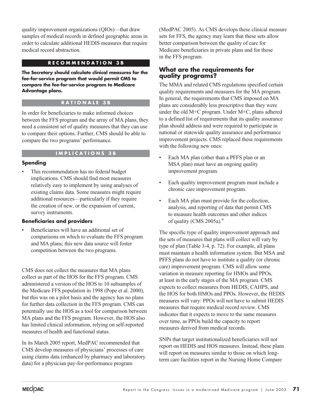quality improvement organizations (QIOs)—that draw samples of medical records in defined geographic areas in order to calculate additional HEDIS measures that require medical record abstraction.

# **RECOMMENDATION 3B**

**The Secretary should calculate clinical measures for the fee-for-service program that would permit CMS to compare the fee-for-service program to Medicare Advantage plans.**

# **RATIONALE 3B**

In order for beneficiaries to make informed choices between the FFS program and the array of MA plans, they need a consistent set of quality measures that they can use to compare their options. Further, CMS should be able to compare the two programs' performance.

# **IMPLICATIONS 3B**

# **Spending**

This recommendation has no federal budget implications. CMS should find most measures relatively easy to implement by using analyses of existing claims data. Some measures might require additional resources—particularly if they require the creation of new, or the expansion of current, survey instruments.

# **Beneficiaries and providers**

Beneficiaries will have an additional set of comparisons on which to evaluate the FFS program and MA plans; this new data source will foster competition between the two programs.

CMS does not collect the measures that MA plans collect as part of the HOS for the FFS program. CMS administered a version of the HOS to 10 subsamples of the Medicare FFS population in 1998 (Pope et al. 2000), but this was on a pilot basis and the agency has no plans for further data collection in the FFS program. CMS can potentially use the HOS as a tool for comparison between MA plans and the FFS program. However, the HOS also has limited clinical information, relying on self-reported measures of health and functional status.

In its March 2005 report, MedPAC recommended that CMS develop measures of physicians' processes of care using claims data (enhanced by pharmacy and laboratory data) for a physician pay-for-performance program

(MedPAC 2005). As CMS develops these clinical measure sets for FFS, the agency may learn that these sets allow better comparison between the quality of care for Medicare beneficiaries in private plans and for those in the FFS program.

# **What are the requirements for quality programs?**

The MMA and related CMS regulations specified certain quality requirements and measures for the MA program. In general, the requirements that CMS imposed on MA plans are considerably less prescriptive than they were under the old M+C program. Under M+C, plans adhered to a defined list of requirements that its quality assurance plan should address and were required to participate in national or statewide quality assurance and performance improvement projects. CMS replaced these requirements with the following new ones:

- Each MA plan (other than a PFFS plan or an MSA plan) must have an ongoing quality improvement program.
- Each quality improvement program must include a chronic care improvement program.
- Each MA plan must provide for the collection, analysis, and reporting of data that permit CMS to measure health outcomes and other indices of quality (CMS 2005a). $4$

The specific type of quality improvement approach and the sets of measures that plans will collect will vary by type of plan (Table 3-4, p. 72). For example, all plans must maintain a health information system. But MSA and PFFS plans do not have to institute a quality (or chronic care) improvement program. CMS will allow some variation in measure reporting for HMOs and PPOs, at least in the early stages of the MA program. CMS expects to collect measures from HEDIS, CAHPS, and the HOS for both HMOs and PPOs. However, the HEDIS measures will vary: PPOs will not have to submit HEDIS measures that require medical record review. CMS indicates that it expects to move to the same measures over time, as PPOs build the capacity to report measures derived from medical records.

SNPs that target institutionalized beneficiaries will not report on HEDIS and HOS measures. Instead, these plans will report on measures similar to those on which longterm care facilities report in the Nursing Home Compare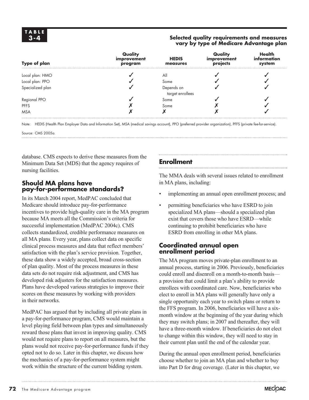### **Selected quality requirements and measures vary by type of Medicare Advantage plan**

| <b>Type of plan</b> | Quality<br>improvement<br>program | <b>HEDIS</b><br>measures | Quality<br>improvement<br>projects | <b>Health</b><br>information<br>system |
|---------------------|-----------------------------------|--------------------------|------------------------------------|----------------------------------------|
| Local plan: HMO     |                                   | All                      |                                    |                                        |
| Local plan: PPO     |                                   | Some                     |                                    |                                        |
| Specialized plan    |                                   | Depends on               |                                    |                                        |
|                     |                                   | target enrollees         |                                    |                                        |
| Regional PPO        |                                   | Some                     |                                    |                                        |
| <b>PFFS</b>         |                                   | Some                     |                                    |                                        |
| <b>MSA</b>          |                                   |                          |                                    |                                        |

Note: HEDIS (Health Plan Employer Data and Information Set), MSA (medical savings account), PPO (preferred provider organization), PFFS (private fee-for-service).

Source: CMS 2005a.

database. CMS expects to derive these measures from the Minimum Data Set (MDS) that the agency requires of nursing facilities.

# **Should MA plans have pay-for-performance standards?**

In its March 2004 report, MedPAC concluded that Medicare should introduce pay-for-performance incentives to provide high-quality care in the MA program because MA meets all the Commission's criteria for successful implementation (MedPAC 2004c). CMS collects standardized, credible performance measures on all MA plans. Every year, plans collect data on specific clinical process measures and data that reflect members' satisfaction with the plan's service provision. Together, these data show a widely accepted, broad cross-section of plan quality. Most of the process measures in these data sets do not require risk adjustment, and CMS has developed risk adjusters for the satisfaction measures. Plans have developed various strategies to improve their scores on these measures by working with providers in their networks.

MedPAC has argued that by including all private plans in a pay-for-performance program, CMS would maintain a level playing field between plan types and simultaneously reward those plans that invest in improving quality. CMS would not require plans to report on all measures, but the plans would not receive pay-for-performance funds if they opted not to do so. Later in this chapter, we discuss how the mechanics of a pay-for-performance system might work within the structure of the current bidding system.

# **Enrollment**

The MMA deals with several issues related to enrollment in MA plans, including:

- implementing an annual open enrollment process; and
- permitting beneficiaries who have ESRD to join specialized MA plans—should a specialized plan exist that covers those who have ESRD—while continuing to prohibit beneficiaries who have ESRD from enrolling in other MA plans.

# **Coordinated annual open enrollment period**

The MA program moves private-plan enrollment to an annual process, starting in 2006. Previously, beneficiaries could enroll and disenroll on a month-to-month basis a provision that could limit a plan's ability to provide enrollees with coordinated care. Now, beneficiaries who elect to enroll in MA plans will generally have only a single opportunity each year to switch plans or return to the FFS program. In 2006, beneficiaries will have a sixmonth window at the beginning of the year during which they may switch plans; in 2007 and thereafter, they will have a three-month window. If beneficiaries do not elect to change within this window, they will need to stay in their current plan until the end of the calendar year.

During the annual open enrollment period, beneficiaries choose whether to join an MA plan and whether to buy into Part D for drug coverage. (Later in this chapter, we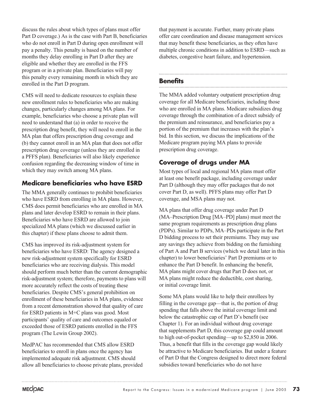discuss the rules about which types of plans must offer Part D coverage.) As is the case with Part B, beneficiaries who do not enroll in Part D during open enrollment will pay a penalty. This penalty is based on the number of months they delay enrolling in Part D after they are eligible and whether they are enrolled in the FFS program or in a private plan. Beneficiaries will pay this penalty every remaining month in which they are enrolled in the Part D program.

CMS will need to dedicate resources to explain these new enrollment rules to beneficiaries who are making changes, particularly changes among MA plans. For example, beneficiaries who choose a private plan will need to understand that (a) in order to receive the prescription drug benefit, they will need to enroll in the MA plan that offers prescription drug coverage and (b) they cannot enroll in an MA plan that does not offer prescription drug coverage (unless they are enrolled in a PFFS plan). Beneficiaries will also likely experience confusion regarding the decreasing window of time in which they may switch among MA plans.

# **Medicare beneficiaries who have ESRD**

The MMA generally continues to prohibit beneficiaries who have ESRD from enrolling in MA plans. However, CMS does permit beneficiaries who are enrolled in MA plans and later develop ESRD to remain in their plans. Beneficiaries who have ESRD are allowed to join specialized MA plans (which we discussed earlier in this chapter) if these plans choose to admit them.

CMS has improved its risk-adjustment system for beneficiaries who have ESRD: The agency designed a new risk-adjustment system specifically for ESRD beneficiaries who are receiving dialysis. This model should perform much better than the current demographic risk-adjustment system; therefore, payments to plans will more accurately reflect the costs of treating these beneficiaries. Despite CMS's general prohibition on enrollment of these beneficiaries in MA plans, evidence from a recent demonstration showed that quality of care for ESRD patients in M+C plans was good. Most participants' quality of care and outcomes equaled or exceeded those of ESRD patients enrolled in the FFS program (The Lewin Group 2002).

MedPAC has recommended that CMS allow ESRD beneficiaries to enroll in plans once the agency has implemented adequate risk adjustment. CMS should allow all beneficiaries to choose private plans, provided

that payment is accurate. Further, many private plans offer care coordination and disease management services that may benefit these beneficiaries, as they often have multiple chronic conditions in addition to ESRD—such as diabetes, congestive heart failure, and hypertension.

# **Benefits**

The MMA added voluntary outpatient prescription drug coverage for all Medicare beneficiaries, including those who are enrolled in MA plans. Medicare subsidizes drug coverage through the combination of a direct subsidy of the premium and reinsurance, and beneficiaries pay a portion of the premium that increases with the plan's bid. In this section, we discuss the implications of the Medicare program paying MA plans to provide prescription drug coverage.

# **Coverage of drugs under MA**

Most types of local and regional MA plans must offer at least one benefit package, including coverage under Part D (although they may offer packages that do not cover Part D, as well). PFFS plans may offer Part D coverage, and MSA plans may not.

MA plans that offer drug coverage under Part D (MA–Prescription Drug [MA–PD] plans) must meet the same program requirements as prescription drug plans (PDPs). Similar to PDPs, MA–PDs participate in the Part D bidding process to set their premiums. They may use any savings they achieve from bidding on the furnishing of Part A and Part B services (which we detail later in this chapter) to lower beneficiaries' Part D premiums or to enhance the Part D benefit. In enhancing the benefit, MA plans might cover drugs that Part D does not, or MA plans might reduce the deductible, cost sharing, or initial coverage limit.

Some MA plans would like to help their enrollees by filling in the coverage gap—that is, the portion of drug spending that falls above the initial coverage limit and below the catastrophic cap of Part D's benefit (see Chapter 1). For an individual without drug coverage that supplements Part D, this coverage gap could amount to high out-of-pocket spending—up to \$2,850 in 2006. Thus, a benefit that fills in the coverage gap would likely be attractive to Medicare beneficiaries. But under a feature of Part D that the Congress designed to direct more federal subsidies toward beneficiaries who do not have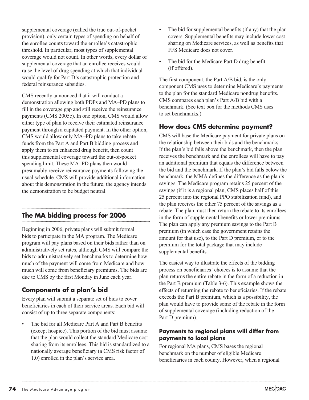supplemental coverage (called the true out-of-pocket provision), only certain types of spending on behalf of the enrollee counts toward the enrollee's catastrophic threshold. In particular, most types of supplemental coverage would not count. In other words, every dollar of supplemental coverage that an enrollee receives would raise the level of drug spending at which that individual would qualify for Part D's catastrophic protection and federal reinsurance subsidies.

CMS recently announced that it will conduct a demonstration allowing both PDPs and MA–PD plans to fill in the coverage gap and still receive the reinsurance payments (CMS 2005c). In one option, CMS would allow either type of plan to receive their estimated reinsurance payment through a capitated payment. In the other option, CMS would allow only MA–PD plans to take rebate funds from the Part A and Part B bidding process and apply them to an enhanced drug benefit, then count this supplemental coverage toward the out-of-pocket spending limit. These MA–PD plans then would presumably receive reinsurance payments following the usual schedule. CMS will provide additional information about this demonstration in the future; the agency intends the demonstration to be budget neutral.

# **The MA bidding process for 2006**

Beginning in 2006, private plans will submit formal bids to participate in the MA program. The Medicare program will pay plans based on their bids rather than on administratively set rates, although CMS will compare the bids to administratively set benchmarks to determine how much of the payment will come from Medicare and how much will come from beneficiary premiums. The bids are due to CMS by the first Monday in June each year.

# **Components of a plan's bid**

Every plan will submit a separate set of bids to cover beneficiaries in each of their service areas. Each bid will consist of up to three separate components:

The bid for all Medicare Part A and Part B benefits (except hospice). This portion of the bid must assume that the plan would collect the standard Medicare cost sharing from its enrollees. This bid is standardized to a nationally average beneficiary (a CMS risk factor of 1.0) enrolled in the plan's service area.

- The bid for supplemental benefits (if any) that the plan covers. Supplemental benefits may include lower cost sharing on Medicare services, as well as benefits that FFS Medicare does not cover.
- The bid for the Medicare Part D drug benefit (if offered).

The first component, the Part A/B bid, is the only component CMS uses to determine Medicare's payments to the plan for the standard Medicare nondrug benefits. CMS compares each plan's Part A/B bid with a benchmark. (See text box for the methods CMS uses to set benchmarks.)

# **How does CMS determine payment?**

CMS will base the Medicare payment for private plans on the relationship between their bids and the benchmarks. If the plan's bid falls above the benchmark, then the plan receives the benchmark and the enrollees will have to pay an additional premium that equals the difference between the bid and the benchmark. If the plan's bid falls below the benchmark, the MMA defines the difference as the plan's savings. The Medicare program retains 25 percent of the savings (if it is a regional plan, CMS places half of this 25 percent into the regional PPO stabilization fund), and the plan receives the other 75 percent of the savings as a rebate. The plan must then return the rebate to its enrollees in the form of supplemental benefits or lower premiums. The plan can apply any premium savings to the Part B premium (in which case the government retains the amount for that use), to the Part D premium, or to the premium for the total package that may include supplemental benefits.

The easiest way to illustrate the effects of the bidding process on beneficiaries' choices is to assume that the plan returns the entire rebate in the form of a reduction in the Part B premium (Table 3-6). This example shows the effects of returning the rebate to beneficiaries. If the rebate exceeds the Part B premium, which is a possibility, the plan would have to provide some of the rebate in the form of supplemental coverage (including reduction of the Part D premium).

# **Payments to regional plans will differ from payments to local plans**

For regional MA plans, CMS bases the regional benchmark on the number of eligible Medicare beneficiaries in each county. However, when a regional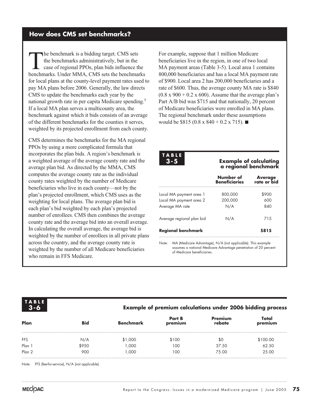# **How does CMS set benchmarks?**

The benchmark is a bidding target. CMS sets<br>the benchmarks administratively, but in the<br>case of regional PPOs, plan bids influence the<br>henchmarks Under MMA CMS sets the benchman the benchmarks administratively, but in the case of regional PPOs, plan bids influence the benchmarks. Under MMA, CMS sets the benchmarks for local plans at the county-level payment rates used to pay MA plans before 2006. Generally, the law directs CMS to update the benchmarks each year by the national growth rate in per capita Medicare spending.<sup>5</sup> If a local MA plan serves a multicounty area, the benchmark against which it bids consists of an average of the different benchmarks for the counties it serves, weighted by its projected enrollment from each county.

CMS determines the benchmarks for the MA regional PPOs by using a more complicated formula that incorporates the plan bids. A region's benchmark is a weighted average of the average county rate and the average plan bid. As directed by the MMA, CMS computes the average county rate as the individual county rates weighted by the number of Medicare beneficiaries who live in each county—not by the plan's projected enrollment, which CMS uses as the weighting for local plans. The average plan bid is each plan's bid weighted by each plan's projected number of enrollees. CMS then combines the average county rate and the average bid into an overall average. In calculating the overall average, the average bid is weighted by the number of enrollees in all private plans across the country, and the average county rate is weighted by the number of all Medicare beneficiaries who remain in FFS Medicare.

For example, suppose that 1 million Medicare beneficiaries live in the region, in one of two local MA payment areas (Table 3-5). Local area 1 contains 800,000 beneficiaries and has a local MA payment rate of \$900. Local area 2 has 200,000 beneficiaries and a rate of \$600. Thus, the average county MA rate is \$840  $(0.8 \times 900 + 0.2 \times 600)$ . Assume that the average plan's Part A/B bid was \$715 and that nationally, 20 percent of Medicare beneficiaries were enrolled in MA plans. The regional benchmark under these assumptions would be \$815 (0.8 x 840 + 0.2 x 715).

**TABLE 3-5**

#### **Example of calculating a regional benchmark**

|                           | Number of<br><b>Beneficiaries</b> | <b>Average</b><br>rate or bid |
|---------------------------|-----------------------------------|-------------------------------|
| Local MA payment area 1   | 800,000                           | \$900                         |
| Local MA payment area 2   | 200,000                           | 600                           |
| Average MA rate           | N/A                               | 840                           |
| Average regional plan bid | N/A                               | 715                           |
| <b>Regional benchmark</b> |                                   | \$815                         |

Note: MA (Medicare Advantage), N/A (not applicable). This example assumes a national Medicare Advantage penetration of 20 percent of Medicare beneficiaries.



# **Example of premium calculations under 2006 bidding process**

| Plan       | <b>Bid</b> | Benchmark | <b>Part B</b><br>premium | Premium<br>rebate | Total<br>premium |
|------------|------------|-----------|--------------------------|-------------------|------------------|
| <b>FFS</b> | N/A        | \$1,000   | \$100                    | \$0               | \$100.00         |
| Plan 1     | \$950      | 1.000     | 100                      | 37.50             | 62.50            |
| Plan 2     | 900        | 1.000     | 100                      | 75.00             | 25.00            |

Note: FFS (fee-for-service), N/A (not applicable).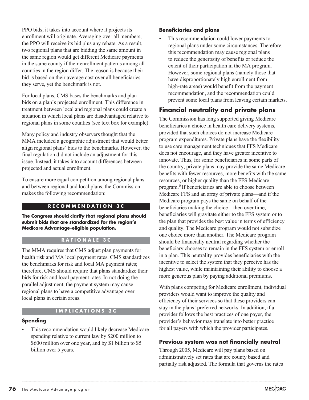PPO bids, it takes into account where it projects its enrollment will originate. Averaging over all members, the PPO will receive its bid plus any rebate. As a result, two regional plans that are bidding the same amount in the same region would get different Medicare payments in the same county if their enrollment patterns among all counties in the region differ. The reason is because their bid is based on their average cost over all beneficiaries they serve, yet the benchmark is not.

For local plans, CMS bases the benchmarks and plan bids on a plan's projected enrollment. This difference in treatment between local and regional plans could create a situation in which local plans are disadvantaged relative to regional plans in some counties (see text box for example).

Many policy and industry observers thought that the MMA included a geographic adjustment that would better align regional plans' bids to the benchmarks. However, the final regulation did not include an adjustment for this issue. Instead, it takes into account differences between projected and actual enrollment.

To ensure more equal competition among regional plans and between regional and local plans, the Commission makes the following recommendation:

# **RECOMMENDATION 3C**

**The Congress should clarify that regional plans should submit bids that are standardized for the region's Medicare Advantage–eligible population.** 

# **RATIONALE 3C**

The MMA requires that CMS adjust plan payments for health risk and MA local payment rates. CMS standardizes the benchmarks for risk and local MA payment rates; therefore, CMS should require that plans standardize their bids for risk and local payment rates. In not doing the parallel adjustment, the payment system may cause regional plans to have a competitive advantage over local plans in certain areas.

# **IMPLICATIONS 3C**

# **Spending**

This recommendation would likely decrease Medicare spending relative to current law by \$200 million to \$600 million over one year, and by \$1 billion to \$5 billion over 5 years.

#### **Beneficiaries and plans**

This recommendation could lower payments to regional plans under some circumstances. Therefore, this recommendation may cause regional plans to reduce the generosity of benefits or reduce the extent of their participation in the MA program. However, some regional plans (namely those that have disproportionately high enrollment from high-rate areas) would benefit from the payment recommendation, and the recommendation could prevent some local plans from leaving certain markets.

# **Financial neutrality and private plans**

The Commission has long supported giving Medicare beneficiaries a choice in health care delivery systems, provided that such choices do not increase Medicare program expenditures. Private plans have the flexibility to use care management techniques that FFS Medicare does not encourage, and they have greater incentive to innovate. Thus, for some beneficiaries in some parts of the country, private plans may provide the same Medicare benefits with fewer resources, more benefits with the same resources, or higher quality than the FFS Medicare program.6 If beneficiaries are able to choose between Medicare FFS and an array of private plans—and if the Medicare program pays the same on behalf of the beneficiaries making the choice—then over time, beneficiaries will gravitate either to the FFS system or to the plan that provides the best value in terms of efficiency and quality. The Medicare program would not subsidize one choice more than another. The Medicare program should be financially neutral regarding whether the beneficiary chooses to remain in the FFS system or enroll in a plan. This neutrality provides beneficiaries with the incentive to select the system that they perceive has the highest value, while maintaining their ability to choose a more generous plan by paying additional premiums.

With plans competing for Medicare enrollment, individual providers would want to improve the quality and efficiency of their services so that these providers can stay in the plans' preferred networks. In addition, if a provider follows the best practices of one payer, the provider's behavior may translate into better practice for all payers with which the provider participates.

# **Previous system was not financially neutral**

Through 2005, Medicare will pay plans based on administratively set rates that are county based and partially risk adjusted. The formula that governs the rates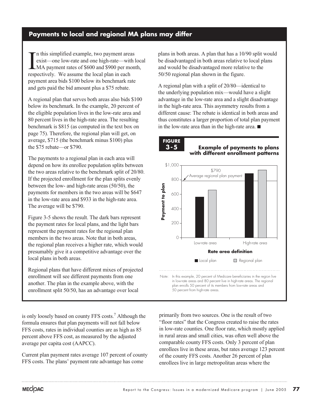# **Payments to local and regional MA plans may differ**

In this simplified example, two payment are<br>exist—one low-rate and one high-rate—wit<br>MA payment rates of \$600 and \$900 per m<br>respectively. We assume the local plan in each n this simplified example, two payment areas exist—one low-rate and one high-rate—with local LMA payment rates of \$600 and \$900 per month, payment area bids \$100 below its benchmark rate and gets paid the bid amount plus a \$75 rebate.

A regional plan that serves both areas also bids \$100 below its benchmark. In the example, 20 percent of the eligible population lives in the low-rate area and 80 percent lives in the high-rate area. The resulting benchmark is \$815 (as computed in the text box on page 75). Therefore, the regional plan will get, on average, \$715 (the benchmark minus \$100) plus the \$75 rebate—or \$790.

The payments to a regional plan in each area will depend on how its enrollee population splits between the two areas relative to the benchmark split of 20/80. If the projected enrollment for the plan splits evenly between the low- and high-rate areas (50/50), the payments for members in the two areas will be \$647 in the low-rate area and \$933 in the high-rate area. The average will be \$790.

Figure 3-5 shows the result. The dark bars represent the payment rates for local plans, and the light bars represent the payment rates for the regional plan members in the two areas. Note that in both areas, the regional plan receives a higher rate, which would presumably give it a competitive advantage over the local plans in both areas.

Regional plans that have different mixes of projected enrollment will see different payments from one another. The plan in the example above, with the enrollment split 50/50, has an advantage over local

is only loosely based on county FFS costs.<sup>7</sup> Although the formula ensures that plan payments will not fall below FFS costs, rates in individual counties are as high as 85 percent above FFS cost, as measured by the adjusted average per capita cost (AAPCC).

Current plan payment rates average 107 percent of county FFS costs. The plans' payment rate advantage has come

plans in both areas. A plan that has a 10/90 split would be disadvantaged in both areas relative to local plans and would be disadvantaged more relative to the 50/50 regional plan shown in the figure.

A regional plan with a split of 20/80—identical to the underlying population mix—would have a slight advantage in the low-rate area and a slight disadvantage in the high-rate area. This asymmetry results from a different cause: The rebate is identical in both areas and thus constitutes a larger proportion of total plan payment in the low-rate area than in the high-rate area.  $\blacksquare$ 

**FIGURE 3-5**

**Example of payments to plans with different enrollment patterns**



primarily from two sources. One is the result of two "floor rates" that the Congress created to raise the rates in low-rate counties. One floor rate, which mostly applied in rural areas and small cities, was often well above the comparable county FFS costs. Only 3 percent of plan enrollees live in these areas, but rates average 123 percent of the county FFS costs. Another 26 percent of plan enrollees live in large metropolitan areas where the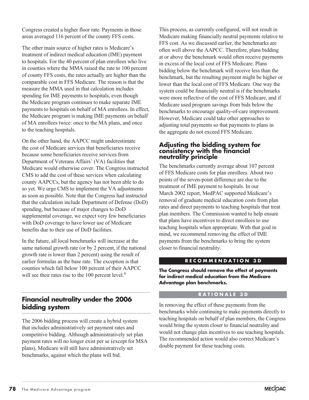Congress created a higher floor rate. Payments in those areas averaged 116 percent of the county FFS costs.

The other main source of higher rates is Medicare's treatment of indirect medical education (IME) payment to hospitals. For the 40 percent of plan enrollees who live in counties where the MMA raised the rate to 100 percent of county FFS costs, the rates actually are higher than the comparable cost in FFS Medicare. The reason is that the measure the MMA used in that calculation includes spending for IME payments to hospitals, even though the Medicare program continues to make separate IME payments to hospitals on behalf of MA enrollees. In effect, the Medicare program is making IME payments on behalf of MA enrollees twice: once to the MA plans, and once to the teaching hospitals.

On the other hand, the AAPCC might underestimate the cost of Medicare services that beneficiaries receive because some beneficiaries receive services from Department of Veterans Affairs' (VA) facilities that Medicare would otherwise cover. The Congress instructed CMS to add the cost of these services when calculating county AAPCCs, but the agency has not been able to do so yet. We urge CMS to implement the VA adjustments as soon as possible. Note that the Congress had instructed that the calculation include Department of Defense (DoD) spending, but because of major changes to DoD supplemental coverage, we expect very few beneficiaries with DoD coverage to have lower use of Medicare benefits due to their use of DoD facilities.

In the future, all local benchmarks will increase at the same national growth rate (or by 2 percent, if the national growth rate is lower than 2 percent) using the result of earlier formulas as the base rate. The exception is that counties which fall below 100 percent of their AAPCC will see their rates rise to the 100 percent level.<sup>8</sup>

#### **Financial neutrality under the 2006 bidding system**

The 2006 bidding process will create a hybrid system that includes administratively set payment rates and competitive bidding. Although administratively set plan payment rates will no longer exist per se (except for MSA plans), Medicare will still have administratively set benchmarks, against which the plans will bid.

This process, as currently configured, will not result in Medicare making financially neutral payments relative to FFS cost. As we discussed earlier, the benchmarks are often well above the AAPCC. Therefore, plans bidding at or above the benchmark would often receive payments in excess of the local cost of FFS Medicare. Plans bidding below the benchmark will receive less than the benchmark, but the resulting payment might be higher or lower than the local cost of FFS Medicare. One way the system could be financially neutral is if the benchmarks were more reflective of the cost of FFS Medicare, and if Medicare used program savings from bids below the benchmarks to encourage quality-of-care improvement. However, Medicare could take other approaches to adjusting total payments so that payments to plans in the aggregate do not exceed FFS Medicare.

# **Adjusting the bidding system for consistency with the financial neutrality principle**

The benchmarks currently average about 107 percent of FFS Medicare costs for plan enrollees. About two points of the seven-point difference are due to the treatment of IME payment to hospitals. In our March 2002 report, MedPAC supported Medicare's removal of graduate medical education costs from plan rates and direct payments to teaching hospitals that treat plan members. The Commission wanted to help ensure that plans have incentives to direct enrollees to use teaching hospitals when appropriate. With that goal in mind, we recommend removing the effect of IME payments from the benchmarks to bring the system closer to financial neutrality.

# **RECOMMENDATION 3D**

**The Congress should remove the effect of payments for indirect medical education from the Medicare Advantage plan benchmarks.**

#### **RATIONALE 3D**

In removing the effect of these payments from the benchmarks while continuing to make payments directly to teaching hospitals on behalf of plan members, the Congress would bring the system closer to financial neutrality and would not change plan incentives to use teaching hospitals. The recommended action would also correct Medicare's double payment for these teaching costs.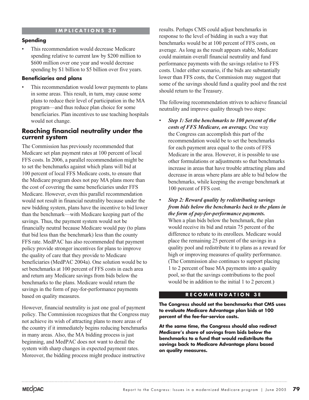# **IMPLICATIONS 3D**

# **Spending**

This recommendation would decrease Medicare spending relative to current law by \$200 million to \$600 million over one year and would decrease spending by \$1 billion to \$5 billion over five years.

### **Beneficiaries and plans**

This recommendation would lower payments to plans in some areas. This result, in turn, may cause some plans to reduce their level of participation in the MA program—and thus reduce plan choice for some beneficiaries. Plan incentives to use teaching hospitals would not change.

# **Reaching financial neutrality under the current system**

The Commission has previously recommended that Medicare set plan payment rates at 100 percent of local FFS costs. In 2006, a parallel recommendation might be to set the benchmarks against which plans will bid at 100 percent of local FFS Medicare costs, to ensure that the Medicare program does not pay MA plans more than the cost of covering the same beneficiaries under FFS Medicare. However, even this parallel recommendation would not result in financial neutrality because under the new bidding system, plans have the incentive to bid lower than the benchmark—with Medicare keeping part of the savings. Thus, the payment system would not be financially neutral because Medicare would pay (to plans that bid less than the benchmark) less than the county FFS rate. MedPAC has also recommended that payment policy provide stronger incentives for plans to improve the quality of care that they provide to Medicare beneficiaries (MedPAC 2004a). One solution would be to set benchmarks at 100 percent of FFS costs in each area and return any Medicare savings from bids below the benchmarks to the plans. Medicare would return the savings in the form of pay-for-performance payments based on quality measures.

However, financial neutrality is just one goal of payment policy. The Commission recognizes that the Congress may not achieve its wish of attracting plans to more areas of the country if it immediately begins reducing benchmarks in many areas. Also, the MA bidding process is just beginning, and MedPAC does not want to derail the system with sharp changes in expected payment rates. Moreover, the bidding process might produce instructive

results. Perhaps CMS could adjust benchmarks in response to the level of bidding in such a way that benchmarks would be at 100 percent of FFS costs, on average. As long as the result appears stable, Medicare could maintain overall financial neutrality and fund performance payments with the savings relative to FFS costs. Under either scenario, if the bids are substantially lower than FFS costs, the Commission may suggest that some of the savings should fund a quality pool and the rest should return to the Treasury.

The following recommendation strives to achieve financial neutrality and improve quality through two steps:

- *Step 1: Set the benchmarks to 100 percent of the costs of FFS Medicare, on average.* One way the Congress can accomplish this part of the recommendation would be to set the benchmarks for each payment area equal to the costs of FFS Medicare in the area. However, it is possible to use other formulations or adjustments so that benchmarks increase in areas that have trouble attracting plans and decrease in areas where plans are able to bid below the benchmarks, while keeping the average benchmark at 100 percent of FFS cost.
- *Step 2: Reward quality by redistributing savings from bids below the benchmarks back to the plans in the form of pay-for-performance payments.*  When a plan bids below the benchmark, the plan would receive its bid and retain 75 percent of the difference to rebate to its enrollees. Medicare would place the remaining 25 percent of the savings in a quality pool and redistribute it to plans as a reward for high or improving measures of quality performance. (The Commission also continues to support placing 1 to 2 percent of base MA payments into a quality pool, so that the savings contributions to the pool would be in addition to the initial 1 to 2 percent.)

#### **RECOMMENDATION 3E**

**The Congress should set the benchmarks that CMS uses to evaluate Medicare Advantage plan bids at 100 percent of the fee-for-service costs.** 

**At the same time, the Congress should also redirect Medicare's share of savings from bids below the benchmarks to a fund that would redistribute the savings back to Medicare Advantage plans based on quality measures.**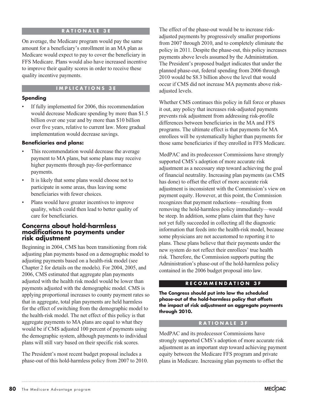### **RATIONALE 3E**

On average, the Medicare program would pay the same amount for a beneficiary's enrollment in an MA plan as Medicare would expect to pay to cover the beneficiary in FFS Medicare. Plans would also have increased incentive to improve their quality scores in order to receive these quality incentive payments.

#### **IMPLICATIONS 3E**

#### **Spending**

If fully implemented for 2006, this recommendation would decrease Medicare spending by more than \$1.5 billion over one year and by more than \$10 billion over five years, relative to current law. More gradual implementation would decrease savings.

### **Beneficiaries and plans:**

- This recommendation would decrease the average payment to MA plans, but some plans may receive higher payments through pay-for-performance payments.
- It is likely that some plans would choose not to participate in some areas, thus leaving some beneficiaries with fewer choices.
- Plans would have greater incentives to improve quality, which could then lead to better quality of care for beneficiaries.

### **Concerns about hold-harmless modifications to payments under risk adjustment**

Beginning in 2004, CMS has been transitioning from risk adjusting plan payments based on a demographic model to adjusting payments based on a health-risk model (see Chapter 2 for details on the models). For 2004, 2005, and 2006, CMS estimated that aggregate plan payments adjusted with the health risk model would be lower than payments adjusted with the demographic model. CMS is applying proportional increases to county payment rates so that in aggregate, total plan payments are held harmless for the effect of switching from the demographic model to the health-risk model. The net effect of this policy is that aggregate payments to MA plans are equal to what they would be if CMS adjusted 100 percent of payments using the demographic system, although payments to individual plans will still vary based on their specific risk scores.

The President's most recent budget proposal includes a phase-out of this hold-harmless policy from 2007 to 2010.

The effect of the phase-out would be to increase riskadjusted payments by progressively smaller proportions from 2007 through 2010, and to completely eliminate the policy in 2011. Despite the phase-out, this policy increases payments above levels assumed by the Administration. The President's proposed budget indicates that under the planned phase-out, federal spending from 2006 through 2010 would be \$8.3 billion above the level that would occur if CMS did not increase MA payments above riskadjusted levels.

Whether CMS continues this policy in full force or phases it out, any policy that increases risk-adjusted payments prevents risk adjustment from addressing risk-profile differences between beneficiaries in the MA and FFS programs. The ultimate effect is that payments for MA enrollees will be systematically higher than payments for those same beneficiaries if they enrolled in FFS Medicare.

MedPAC and its predecessor Commissions have strongly supported CMS's adoption of more accurate risk adjustment as a necessary step toward achieving the goal of financial neutrality. Increasing plan payments (as CMS has done) to offset the effect of more accurate risk adjustment is inconsistent with the Commission's view on payment equity. However, at this point, the Commission recognizes that payment reductions—resulting from removing the hold-harmless policy immediately—would be steep. In addition, some plans claim that they have not yet fully succeeded in collecting all the diagnostic information that feeds into the health-risk model, because some physicians are not accustomed to reporting it to plans. These plans believe that their payments under the new system do not reflect their enrollees' true health risk. Therefore, the Commission supports putting the Administration's phase-out of the hold-harmless policy contained in the 2006 budget proposal into law.

# **RECOMMENDATION 3F**

**The Congress should put into law the scheduled phase-out of the hold-harmless policy that offsets the impact of risk adjustment on aggregate payments through 2010.**

#### **RATIONALE 3F**

MedPAC and its predecessor Commissions have strongly supported CMS's adoption of more accurate risk adjustment as an important step toward achieving payment equity between the Medicare FFS program and private plans in Medicare. Increasing plan payments to offset the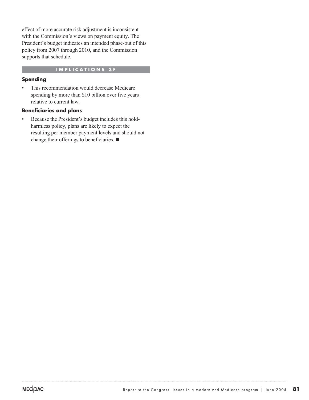effect of more accurate risk adjustment is inconsistent with the Commission's views on payment equity. The President's budget indicates an intended phase-out of this policy from 2007 through 2010, and the Commission supports that schedule.

# **IMPLICATIONS 3F**

# **Spending**

• This recommendation would decrease Medicare spending by more than \$10 billion over five years relative to current law.

#### **Beneficiaries and plans**

• Because the President's budget includes this holdharmless policy, plans are likely to expect the resulting per member payment levels and should not change their offerings to beneficiaries.  $\blacksquare$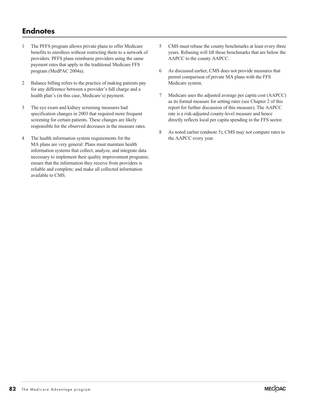# **Endnotes**

- 1 The PFFS program allows private plans to offer Medicare benefits to enrollees without restricting them to a network of providers. PFFS plans reimburse providers using the same payment rates that apply in the traditional Medicare FFS program (MedPAC 2004a).
- 2 Balance billing refers to the practice of making patients pay for any difference between a provider's full charge and a health plan's (in this case, Medicare's) payment.
- 3 The eye exam and kidney screening measures had specification changes in 2003 that required more frequent screening for certain patients. These changes are likely responsible for the observed decreases in the measure rates.
- 4 The health information system requirements for the MA plans are very general: Plans must maintain health information systems that collect, analyze, and integrate data necessary to implement their quality improvement programs; ensure that the information they receive from providers is reliable and complete; and make all collected information available to CMS.
- 5 CMS must rebase the county benchmarks at least every three years. Rebasing will lift those benchmarks that are below the AAPCC to the county AAPCC.
- 6 As discussed earlier, CMS does not provide measures that permit comparison of private MA plans with the FFS Medicare system.
- 7 Medicare uses the adjusted average per capita cost (AAPCC) as its formal measure for setting rates (see Chapter 2 of this report for further discussion of this measure). The AAPCC rate is a risk-adjusted county-level measure and hence directly reflects local per capita spending in the FFS sector.
- 8 As noted earlier (endnote 5), CMS may not compare rates to the AAPCC every year.